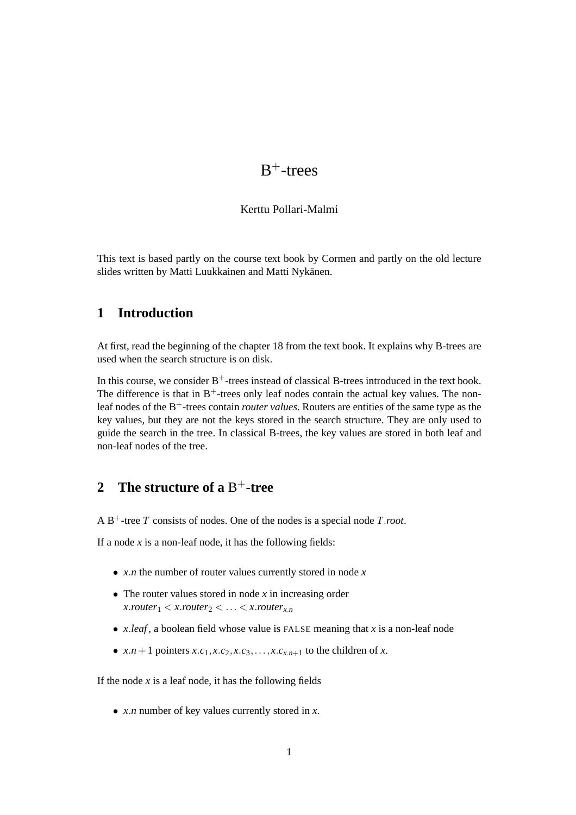# $B^+$ -trees

#### Kerttu Pollari-Malmi

This text is based partly on the course text book by Cormen and partly on the old lecture slides written by Matti Luukkainen and Matti Nykänen.

#### **1 Introduction**

At first, read the beginning of the chapter 18 from the text book. It explains why B-trees are used when the search structure is on disk.

In this course, we consider  $B^+$ -trees instead of classical B-trees introduced in the text book. The difference is that in  $B^+$ -trees only leaf nodes contain the actual key values. The nonleaf nodes of the B+-trees contain *router values*. Routers are entities of the same type as the key values, but they are not the keys stored in the search structure. They are only used to guide the search in the tree. In classical B-trees, the key values are stored in both leaf and non-leaf nodes of the tree.

### **2 The structure of a** B <sup>+</sup>**-tree**

A B+-tree *T* consists of nodes. One of the nodes is a special node *T*.*root*.

If a node  $x$  is a non-leaf node, it has the following fields:

- *x*.*n* the number of router values currently stored in node *x*
- The router values stored in node *x* in increasing order  $x$ *router*<sub>1</sub> <  $x$ *.router*<sub>2</sub> <  $\dots$  <  $x$ *.router*<sub> $x$ </sub>*n*
- *x*.*leaf* , a boolean field whose value is FALSE meaning that *x* is a non-leaf node
- $x.n+1$  pointers  $x.c_1, x.c_2, x.c_3, \ldots, x.c_{x.n+1}$  to the children of  $x$ .

If the node  $x$  is a leaf node, it has the following fields

• *x*.*n* number of key values currently stored in *x*.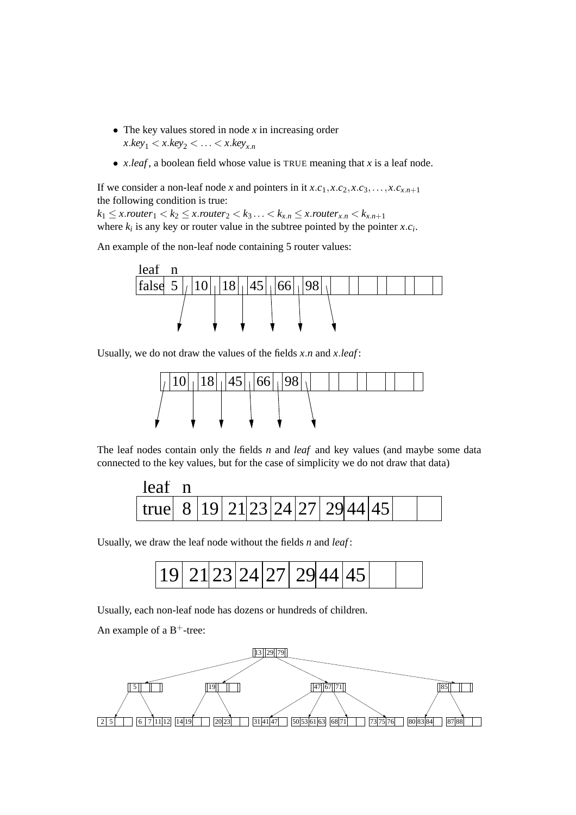- The key values stored in node *x* in increasing order  $x \cdot key_1 < x \cdot key_2 < \ldots < x \cdot key_{x}$
- *x*.*leaf* , a boolean field whose value is TRUE meaning that *x* is a leaf node.

If we consider a non-leaf node *x* and pointers in it  $x.c_1, x.c_2, x.c_3, \ldots, x.c_{x.n+1}$ the following condition is true:

 $k_1 \leq x$ .*router*<sub>1</sub> <  $k_2 \leq x$ .*router*<sub>2</sub> <  $k_3 \ldots \leq k_{x,n} \leq x$ .*router*<sub>*x*.*n*</sub> <  $k_{x,n+1}$ where  $k_i$  is any key or router value in the subtree pointed by the pointer  $x.c_i$ .

An example of the non-leaf node containing 5 router values:



Usually, we do not draw the values of the fields *x*.*n* and *x*.*leaf* :



The leaf nodes contain only the fields *n* and *leaf* and key values (and maybe some data connected to the key values, but for the case of simplicity we do not draw that data)

| leaf                                             |  |  |  |  |  |  |
|--------------------------------------------------|--|--|--|--|--|--|
| true   8   19   21   23   24   27   29   44   45 |  |  |  |  |  |  |

Usually, we draw the leaf node without the fields *n* and *leaf* :



Usually, each non-leaf node has dozens or hundreds of children.

An example of a  $B^+$ -tree:

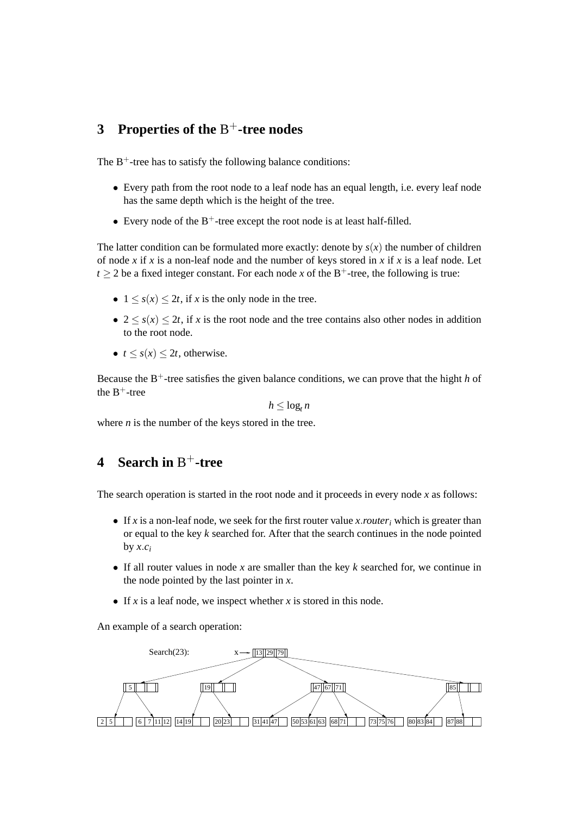### **3 Properties of the** B <sup>+</sup>**-tree nodes**

The  $B^+$ -tree has to satisfy the following balance conditions:

- Every path from the root node to a leaf node has an equal length, i.e. every leaf node has the same depth which is the height of the tree.
- Every node of the  $B^+$ -tree except the root node is at least half-filled.

The latter condition can be formulated more exactly: denote by  $s(x)$  the number of children of node *x* if *x* is a non-leaf node and the number of keys stored in *x* if *x* is a leaf node. Let  $t > 2$  be a fixed integer constant. For each node *x* of the B<sup>+</sup>-tree, the following is true:

- $1 \leq s(x) \leq 2t$ , if *x* is the only node in the tree.
- $2 \leq s(x) \leq 2t$ , if *x* is the root node and the tree contains also other nodes in addition to the root node.
- $t \leq s(x) \leq 2t$ , otherwise.

Because the  $B^+$ -tree satisfies the given balance conditions, we can prove that the hight *h* of the  $B^+$ -tree

 $h \leq \log_t n$ 

where *n* is the number of the keys stored in the tree.

## **4 Search in** B <sup>+</sup>**-tree**

The search operation is started in the root node and it proceeds in every node *x* as follows:

- If *x* is a non-leaf node, we seek for the first router value *x*.*router*<sub>*i*</sub> which is greater than or equal to the key *k* searched for. After that the search continues in the node pointed by  $x.c_i$
- If all router values in node *x* are smaller than the key *k* searched for, we continue in the node pointed by the last pointer in *x*.
- If  $x$  is a leaf node, we inspect whether  $x$  is stored in this node.

An example of a search operation:

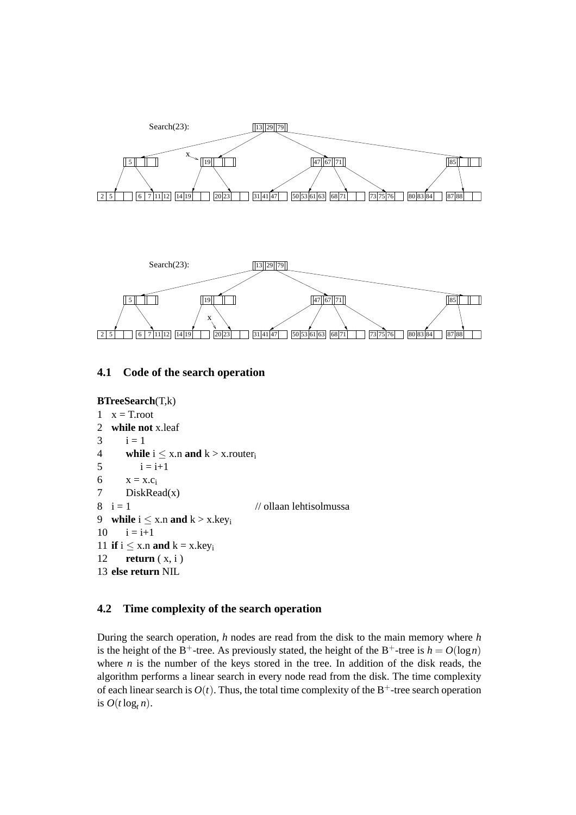



#### **4.1 Code of the search operation**

```
BTreeSearch(T,k)
1 x = T root2 while not x.leaf
3 \t i = 14 while i \leq x.n and k > x.router<sub>i</sub>
5 i = i+16 x = x.c_i7 DiskRead(x)
8 \text{ i} = 1 // ollaan lehtisolmussa
9 while i \leq x.n and k > x.key_i10 \quad i = i + 111 if i \leq x.n and k = x.key<sub>i</sub>
12 return ( x, i )
13 else return NIL
```
#### **4.2 Time complexity of the search operation**

During the search operation, *h* nodes are read from the disk to the main memory where *h* is the height of the B<sup>+</sup>-tree. As previously stated, the height of the B<sup>+</sup>-tree is  $h = O(\log n)$ where  $n$  is the number of the keys stored in the tree. In addition of the disk reads, the algorithm performs a linear search in every node read from the disk. The time complexity of each linear search is  $O(t)$ . Thus, the total time complexity of the B<sup>+</sup>-tree search operation is  $O(t \log_t n)$ .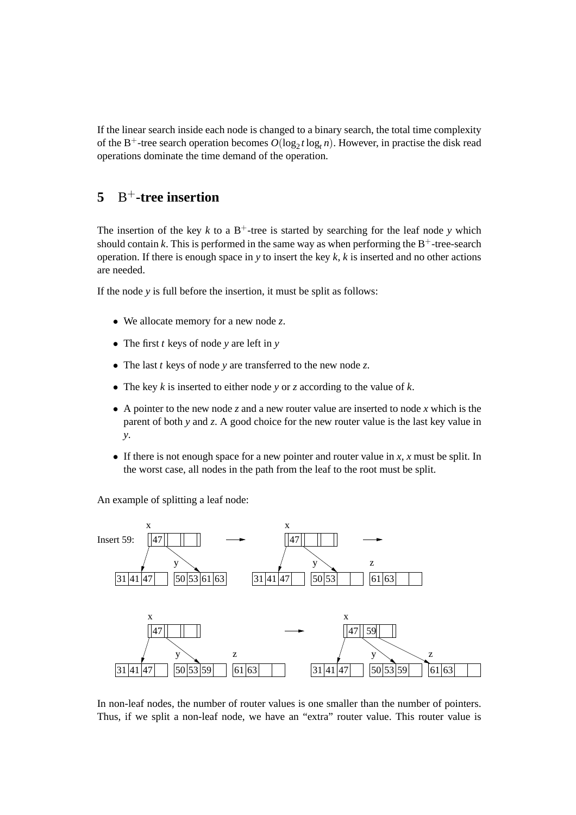If the linear search inside each node is changed to a binary search, the total time complexity of the B<sup>+</sup>-tree search operation becomes  $O(\log_2 t \log_t n)$ . However, in practise the disk read operations dominate the time demand of the operation.

### **5** B <sup>+</sup>**-tree insertion**

The insertion of the key  $k$  to a  $B^+$ -tree is started by searching for the leaf node  $\gamma$  which should contain  $k$ . This is performed in the same way as when performing the  $B^+$ -tree-search operation. If there is enough space in *y* to insert the key *k*, *k* is inserted and no other actions are needed.

If the node *y* is full before the insertion, it must be split as follows:

- We allocate memory for a new node *z*.
- The first *t* keys of node *y* are left in *y*
- The last *t* keys of node *y* are transferred to the new node *z*.
- The key *k* is inserted to either node *y* or *z* according to the value of *k*.
- A pointer to the new node *z* and a new router value are inserted to node *x* which is the parent of both *y* and *z*. A good choice for the new router value is the last key value in *y*.
- If there is not enough space for a new pointer and router value in *x*, *x* must be split. In the worst case, all nodes in the path from the leaf to the root must be split.

An example of splitting a leaf node:



In non-leaf nodes, the number of router values is one smaller than the number of pointers. Thus, if we split a non-leaf node, we have an "extra" router value. This router value is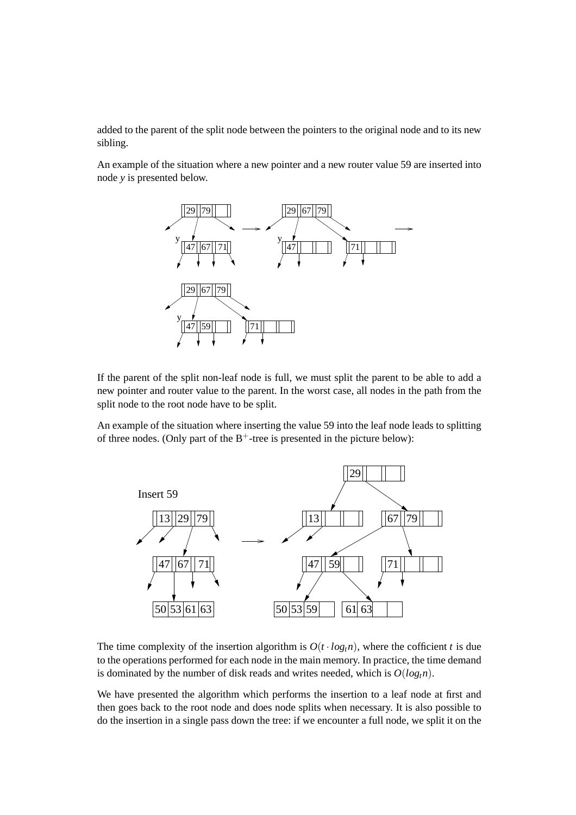added to the parent of the split node between the pointers to the original node and to its new sibling.

An example of the situation where a new pointer and a new router value 59 are inserted into node *y* is presented below.



If the parent of the split non-leaf node is full, we must split the parent to be able to add a new pointer and router value to the parent. In the worst case, all nodes in the path from the split node to the root node have to be split.

An example of the situation where inserting the value 59 into the leaf node leads to splitting of three nodes. (Only part of the  $B^+$ -tree is presented in the picture below):



The time complexity of the insertion algorithm is  $O(t \cdot log<sub>t</sub>n)$ , where the cofficient *t* is due to the operations performed for each node in the main memory. In practice, the time demand is dominated by the number of disk reads and writes needed, which is  $O(log_t n)$ .

We have presented the algorithm which performs the insertion to a leaf node at first and then goes back to the root node and does node splits when necessary. It is also possible to do the insertion in a single pass down the tree: if we encounter a full node, we split it on the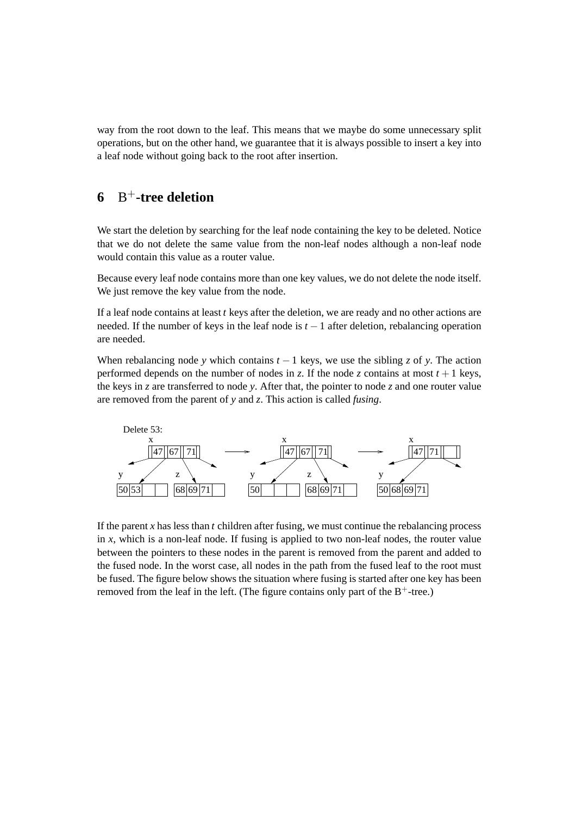way from the root down to the leaf. This means that we maybe do some unnecessary split operations, but on the other hand, we guarantee that it is always possible to insert a key into a leaf node without going back to the root after insertion.

### **6** B <sup>+</sup>**-tree deletion**

We start the deletion by searching for the leaf node containing the key to be deleted. Notice that we do not delete the same value from the non-leaf nodes although a non-leaf node would contain this value as a router value.

Because every leaf node contains more than one key values, we do not delete the node itself. We just remove the key value from the node.

If a leaf node contains at least *t* keys after the deletion, we are ready and no other actions are needed. If the number of keys in the leaf node is *t* −1 after deletion, rebalancing operation are needed.

When rebalancing node *y* which contains  $t - 1$  keys, we use the sibling *z* of *y*. The action performed depends on the number of nodes in *z*. If the node *z* contains at most  $t + 1$  keys, the keys in *z* are transferred to node *y*. After that, the pointer to node *z* and one router value are removed from the parent of *y* and *z*. This action is called *fusing*.



If the parent *x* has less than *t* children after fusing, we must continue the rebalancing process in  $x$ , which is a non-leaf node. If fusing is applied to two non-leaf nodes, the router value between the pointers to these nodes in the parent is removed from the parent and added to the fused node. In the worst case, all nodes in the path from the fused leaf to the root must be fused. The figure below shows the situation where fusing is started after one key has been removed from the leaf in the left. (The figure contains only part of the  $B^+$ -tree.)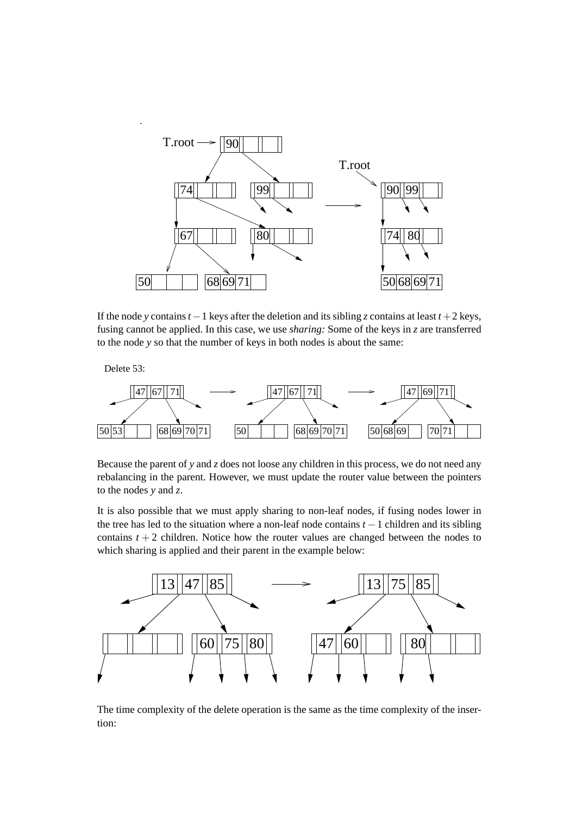

If the node *y* contains  $t - 1$  keys after the deletion and its sibling *z* contains at least  $t + 2$  keys, fusing cannot be applied. In this case, we use *sharing:* Some of the keys in *z* are transferred to the node *y* so that the number of keys in both nodes is about the same:

Delete 53:



Because the parent of  $y$  and  $z$  does not loose any children in this process, we do not need any rebalancing in the parent. However, we must update the router value between the pointers to the nodes *y* and *z*.

It is also possible that we must apply sharing to non-leaf nodes, if fusing nodes lower in the tree has led to the situation where a non-leaf node contains *t* −1 children and its sibling contains  $t + 2$  children. Notice how the router values are changed between the nodes to which sharing is applied and their parent in the example below:



The time complexity of the delete operation is the same as the time complexity of the insertion: